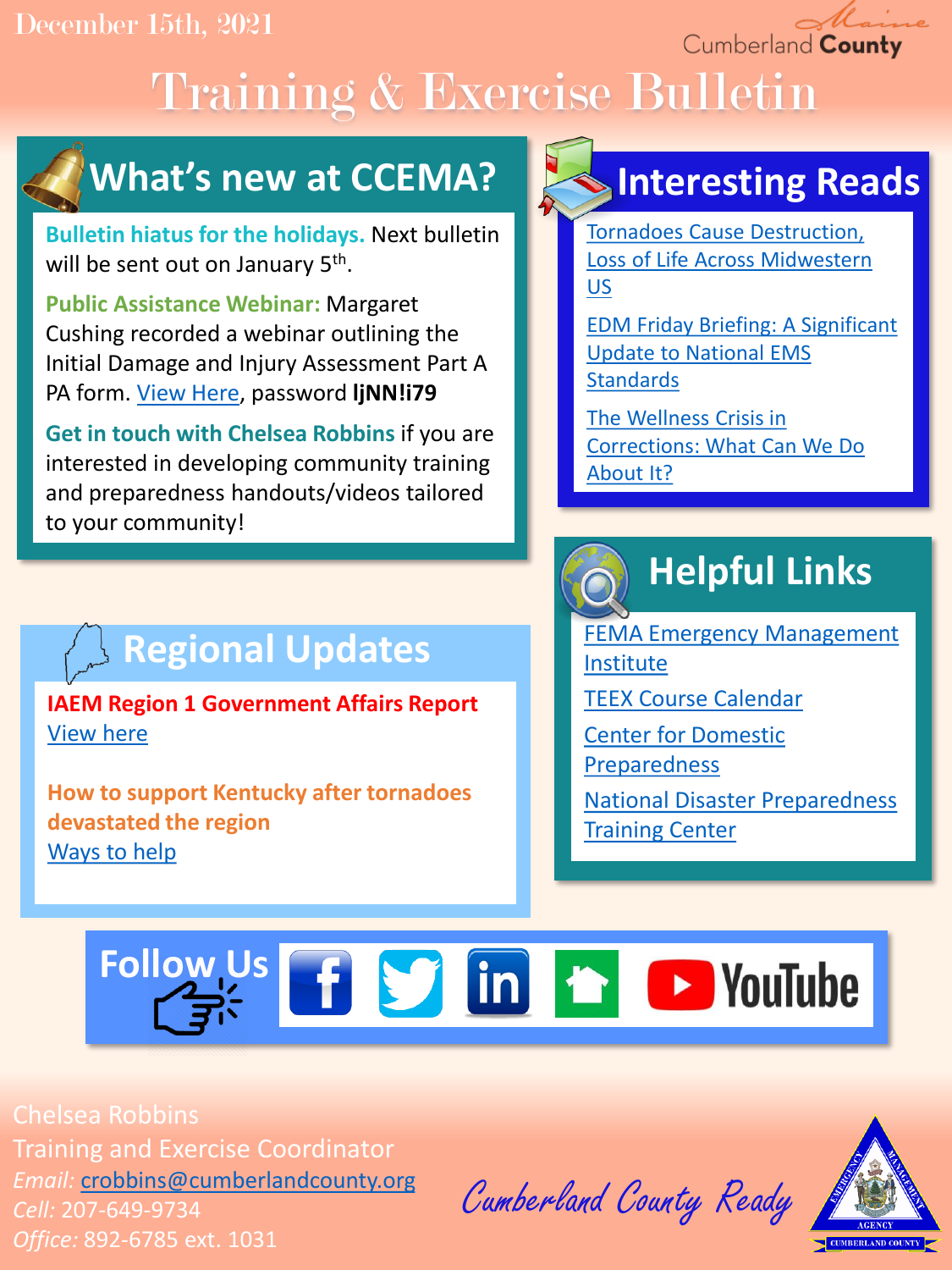December 15th, 2021

Cumberland County

# Training & Exercise Bulletin



**Bulletin hiatus for the holidays.** Next bulletin will be sent out on January 5<sup>th</sup>.

**Public Assistance Webinar:** Margaret Cushing recorded a webinar outlining the Initial Damage and Injury Assessment Part A PA form. [View Here,](https://us02web.zoom.us/rec/play/IJ0Do9Q7kDbB1tt4HCdS9vggSr9GIDupaYGfPepJPJluVz9JVk2kPUgxGuGNUcD9p2L_S8AewZm6N01x.KBCJsrbHhJj-Am8C?continueMode=true) password **ljNN!i79**

**Get in touch with Chelsea Robbins** if you are interested in developing community training and preparedness handouts/videos tailored to your community!

## **Regional Updates**

**IAEM Region 1 Government Affairs Report** [View here](https://drive.google.com/file/d/1-0Dx7Hf4KuSaTTtFlCxU7hNj8l0zvbv1/view?usp=sharing)

**How to support Kentucky after tornadoes devastated the region** [Ways to help](https://www.redcross.org/about-us/news-and-events/news/2021/red-cross-responds-to-deadly-tornadoes.html?cid=disaster&med=social&source=arcfacebook&campdesc=dec1121&fbclid=IwAR0jFQzmds4__PCco8ayMazhGyiQZsaxLGze8MKxp0LQ89z0Ej6GAVtxQAM)

## **Interesting Reads**

Tornadoes Cause Destruction, [Loss of Life Across Midwestern](https://hagertyconsulting.com/about-us/blog/tornadoes-cause-destruction-loss-of-life-across-midwestern-us/)  US

[EDM Friday Briefing: A Significant](https://amuedge.com/edm-friday-briefing-a-significant-update-was-issued-for-national-ems-standards/) Update to National EMS **Standards** 

The Wellness Crisis in [Corrections: What Can We Do](https://amuedge.com/the-wellness-crisis-in-corrections-what-can-we-can-do-about-it/)  About It?

## **Helpful Links**

[FEMA Emergency Management](https://training.fema.gov/is/) Institute

[TEEX Course Calendar](https://teex.org/course-calendar/)

[Center for Domestic](https://cdp.dhs.gov/)  Preparedness

[National Disaster Preparedness](https://ndptc.hawaii.edu/training/)  **Training Center** 

# Follow Us **Fig. 5 Soldiers** 10 Follow Us

Chelsea Robbins Training and Exercise Coordinator *Email:* [crobbins@cumberlandcounty.org](mailto:crobbins@cumberlandcounty.org) *Cell:* 207-649-9734 *Office:* 892-6785 ext. 1031

Cumberland County Ready